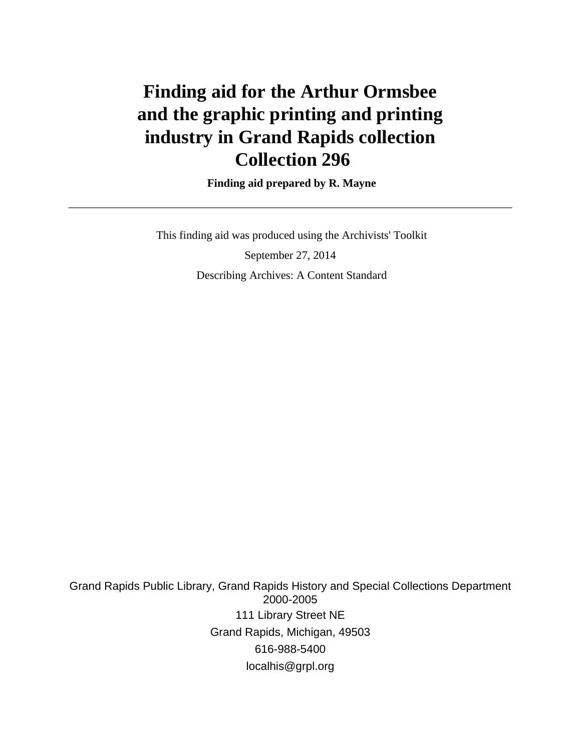# **Finding aid for the Arthur Ormsbee and the graphic printing and printing industry in Grand Rapids collection Collection 296**

 **Finding aid prepared by R. Mayne**

 This finding aid was produced using the Archivists' Toolkit September 27, 2014 Describing Archives: A Content Standard

Grand Rapids Public Library, Grand Rapids History and Special Collections Department 2000-2005 111 Library Street NE Grand Rapids, Michigan, 49503 616-988-5400 localhis@grpl.org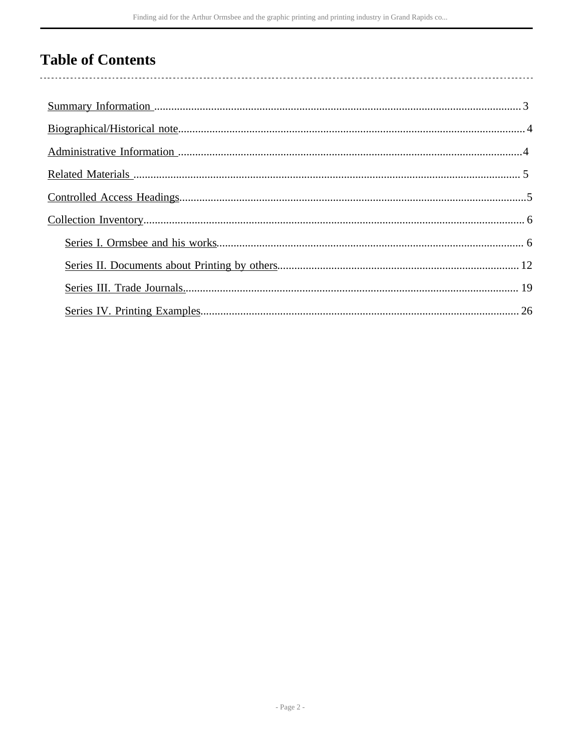# **Table of Contents**

 $\overline{\phantom{a}}$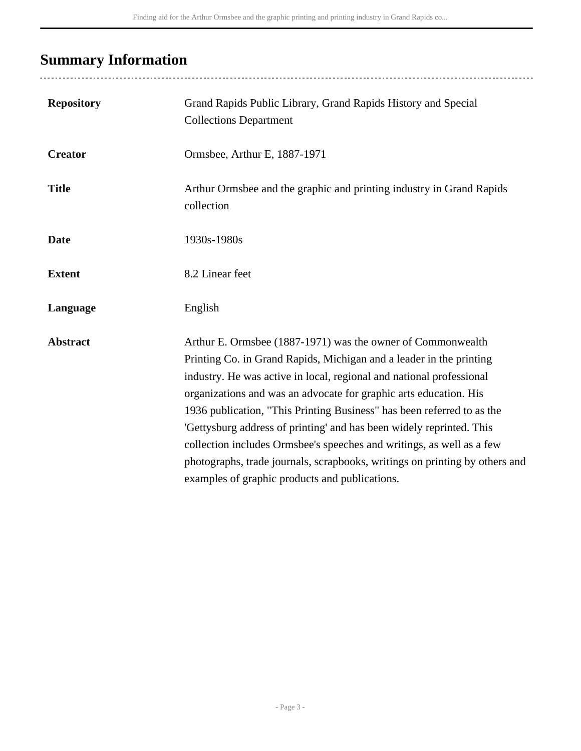# <span id="page-2-0"></span>**Summary Information**

| <b>Repository</b> | Grand Rapids Public Library, Grand Rapids History and Special<br><b>Collections Department</b>                                                                                                                                                                                                                                                                                                                                                                                                                                                                                                                                              |
|-------------------|---------------------------------------------------------------------------------------------------------------------------------------------------------------------------------------------------------------------------------------------------------------------------------------------------------------------------------------------------------------------------------------------------------------------------------------------------------------------------------------------------------------------------------------------------------------------------------------------------------------------------------------------|
| <b>Creator</b>    | Ormsbee, Arthur E, 1887-1971                                                                                                                                                                                                                                                                                                                                                                                                                                                                                                                                                                                                                |
| <b>Title</b>      | Arthur Ormsbee and the graphic and printing industry in Grand Rapids<br>collection                                                                                                                                                                                                                                                                                                                                                                                                                                                                                                                                                          |
| <b>Date</b>       | 1930s-1980s                                                                                                                                                                                                                                                                                                                                                                                                                                                                                                                                                                                                                                 |
| <b>Extent</b>     | 8.2 Linear feet                                                                                                                                                                                                                                                                                                                                                                                                                                                                                                                                                                                                                             |
| Language          | English                                                                                                                                                                                                                                                                                                                                                                                                                                                                                                                                                                                                                                     |
| <b>Abstract</b>   | Arthur E. Ormsbee (1887-1971) was the owner of Commonwealth<br>Printing Co. in Grand Rapids, Michigan and a leader in the printing<br>industry. He was active in local, regional and national professional<br>organizations and was an advocate for graphic arts education. His<br>1936 publication, "This Printing Business" has been referred to as the<br>'Gettysburg address of printing' and has been widely reprinted. This<br>collection includes Ormsbee's speeches and writings, as well as a few<br>photographs, trade journals, scrapbooks, writings on printing by others and<br>examples of graphic products and publications. |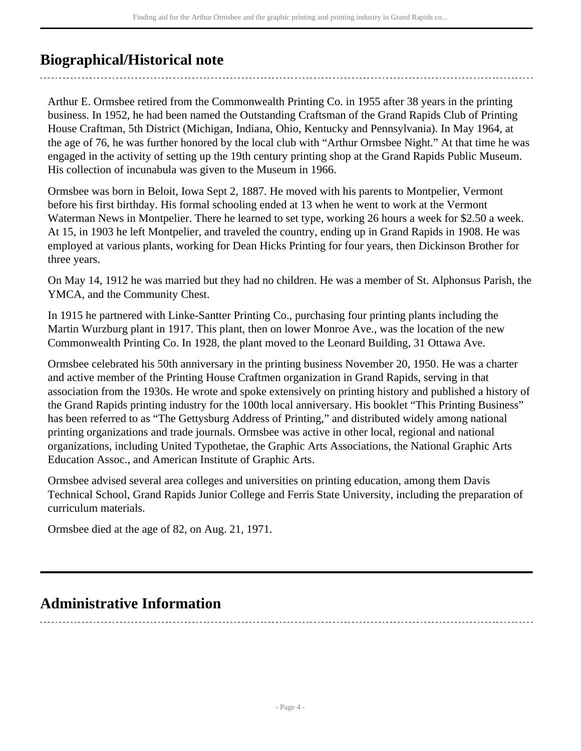# <span id="page-3-0"></span>**Biographical/Historical note**

Arthur E. Ormsbee retired from the Commonwealth Printing Co. in 1955 after 38 years in the printing business. In 1952, he had been named the Outstanding Craftsman of the Grand Rapids Club of Printing House Craftman, 5th District (Michigan, Indiana, Ohio, Kentucky and Pennsylvania). In May 1964, at the age of 76, he was further honored by the local club with "Arthur Ormsbee Night." At that time he was engaged in the activity of setting up the 19th century printing shop at the Grand Rapids Public Museum. His collection of incunabula was given to the Museum in 1966.

Ormsbee was born in Beloit, Iowa Sept 2, 1887. He moved with his parents to Montpelier, Vermont before his first birthday. His formal schooling ended at 13 when he went to work at the Vermont Waterman News in Montpelier. There he learned to set type, working 26 hours a week for \$2.50 a week. At 15, in 1903 he left Montpelier, and traveled the country, ending up in Grand Rapids in 1908. He was employed at various plants, working for Dean Hicks Printing for four years, then Dickinson Brother for three years.

On May 14, 1912 he was married but they had no children. He was a member of St. Alphonsus Parish, the YMCA, and the Community Chest.

In 1915 he partnered with Linke-Santter Printing Co., purchasing four printing plants including the Martin Wurzburg plant in 1917. This plant, then on lower Monroe Ave., was the location of the new Commonwealth Printing Co. In 1928, the plant moved to the Leonard Building, 31 Ottawa Ave.

Ormsbee celebrated his 50th anniversary in the printing business November 20, 1950. He was a charter and active member of the Printing House Craftmen organization in Grand Rapids, serving in that association from the 1930s. He wrote and spoke extensively on printing history and published a history of the Grand Rapids printing industry for the 100th local anniversary. His booklet "This Printing Business" has been referred to as "The Gettysburg Address of Printing," and distributed widely among national printing organizations and trade journals. Ormsbee was active in other local, regional and national organizations, including United Typothetae, the Graphic Arts Associations, the National Graphic Arts Education Assoc., and American Institute of Graphic Arts.

Ormsbee advised several area colleges and universities on printing education, among them Davis Technical School, Grand Rapids Junior College and Ferris State University, including the preparation of curriculum materials.

Ormsbee died at the age of 82, on Aug. 21, 1971.

# <span id="page-3-1"></span>**Administrative Information**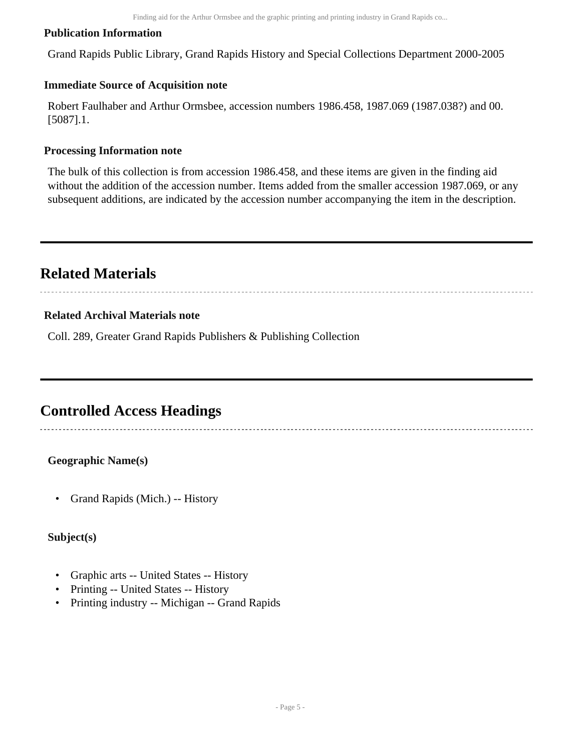#### **Publication Information**

Grand Rapids Public Library, Grand Rapids History and Special Collections Department 2000-2005

#### **Immediate Source of Acquisition note**

Robert Faulhaber and Arthur Ormsbee, accession numbers 1986.458, 1987.069 (1987.038?) and 00. [5087].1.

#### **Processing Information note**

The bulk of this collection is from accession 1986.458, and these items are given in the finding aid without the addition of the accession number. Items added from the smaller accession 1987.069, or any subsequent additions, are indicated by the accession number accompanying the item in the description.

# <span id="page-4-0"></span>**Related Materials**

#### **Related Archival Materials note**

Coll. 289, Greater Grand Rapids Publishers & Publishing Collection

## <span id="page-4-1"></span>**Controlled Access Headings**

#### **Geographic Name(s)**

• Grand Rapids (Mich.) -- History

#### **Subject(s)**

- Graphic arts -- United States -- History
- Printing -- United States -- History
- Printing industry -- Michigan -- Grand Rapids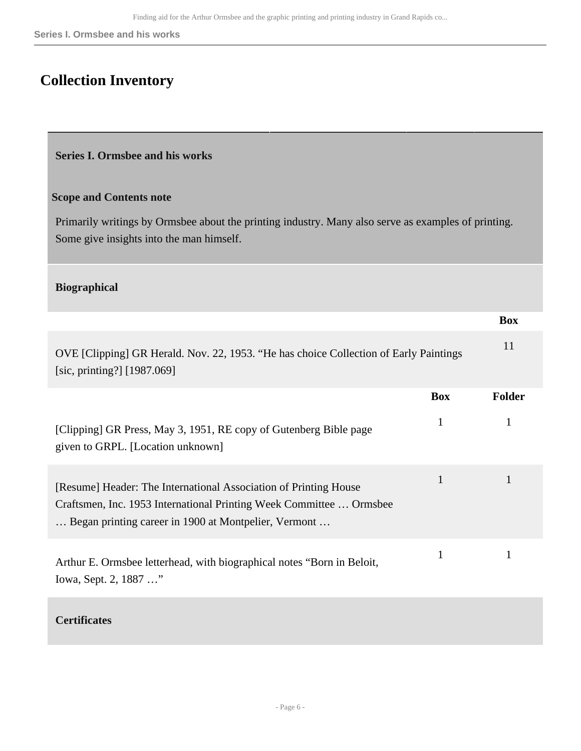# <span id="page-5-0"></span>**Collection Inventory**

#### <span id="page-5-1"></span>**Series I. Ormsbee and his works**

#### **Scope and Contents note**

Primarily writings by Ormsbee about the printing industry. Many also serve as examples of printing. Some give insights into the man himself.

#### **Biographical**

|                                                                                                                                                                                                 |              | <b>Box</b>    |
|-------------------------------------------------------------------------------------------------------------------------------------------------------------------------------------------------|--------------|---------------|
| OVE [Clipping] GR Herald. Nov. 22, 1953. "He has choice Collection of Early Paintings<br>[sic, printing?] $[1987.069]$                                                                          |              | 11            |
|                                                                                                                                                                                                 | <b>Box</b>   | <b>Folder</b> |
| [Clipping] GR Press, May 3, 1951, RE copy of Gutenberg Bible page<br>given to GRPL. [Location unknown]                                                                                          | $\mathbf{1}$ | 1             |
| [Resume] Header: The International Association of Printing House<br>Craftsmen, Inc. 1953 International Printing Week Committee  Ormsbee<br>Began printing career in 1900 at Montpelier, Vermont | 1            | 1             |
| Arthur E. Ormsbee letterhead, with biographical notes "Born in Beloit,<br>Iowa, Sept. 2, 1887 "                                                                                                 | 1            | 1             |
| <b>Certificates</b>                                                                                                                                                                             |              |               |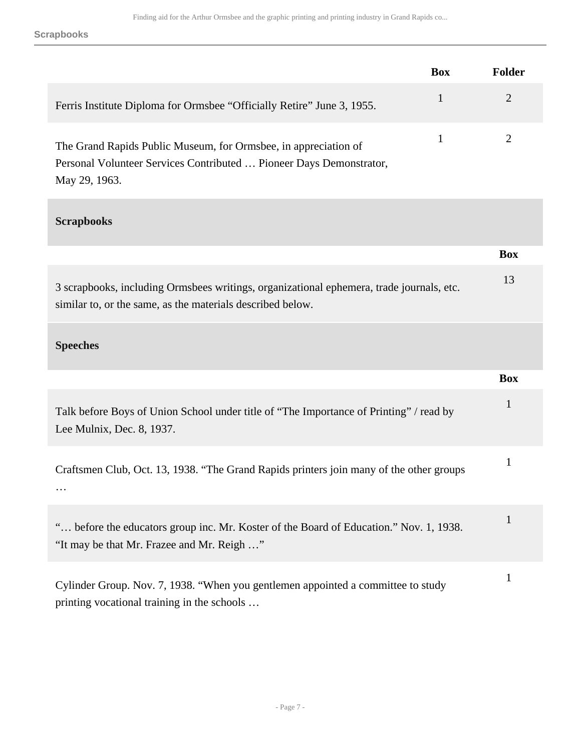**Scrapbooks**

|                                                                                                                                                         | <b>Box</b>   | <b>Folder</b>  |
|---------------------------------------------------------------------------------------------------------------------------------------------------------|--------------|----------------|
| Ferris Institute Diploma for Ormsbee "Officially Retire" June 3, 1955.                                                                                  | $\mathbf{1}$ | $\overline{2}$ |
| The Grand Rapids Public Museum, for Ormsbee, in appreciation of<br>Personal Volunteer Services Contributed  Pioneer Days Demonstrator,<br>May 29, 1963. | $\mathbf{1}$ | $\overline{2}$ |
| <b>Scrapbooks</b>                                                                                                                                       |              |                |
|                                                                                                                                                         |              | <b>Box</b>     |
| 3 scrapbooks, including Ormsbees writings, organizational ephemera, trade journals, etc.<br>similar to, or the same, as the materials described below.  |              | 13             |
| <b>Speeches</b>                                                                                                                                         |              |                |
|                                                                                                                                                         |              | <b>Box</b>     |
| Talk before Boys of Union School under title of "The Importance of Printing" / read by<br>Lee Mulnix, Dec. 8, 1937.                                     |              | $\mathbf{1}$   |
| Craftsmen Club, Oct. 13, 1938. "The Grand Rapids printers join many of the other groups                                                                 |              | $\mathbf{1}$   |
| " before the educators group inc. Mr. Koster of the Board of Education." Nov. 1, 1938.<br>"It may be that Mr. Frazee and Mr. Reigh "                    |              | $\mathbf{1}$   |
| Cylinder Group. Nov. 7, 1938. "When you gentlemen appointed a committee to study<br>printing vocational training in the schools                         |              | $\mathbf{1}$   |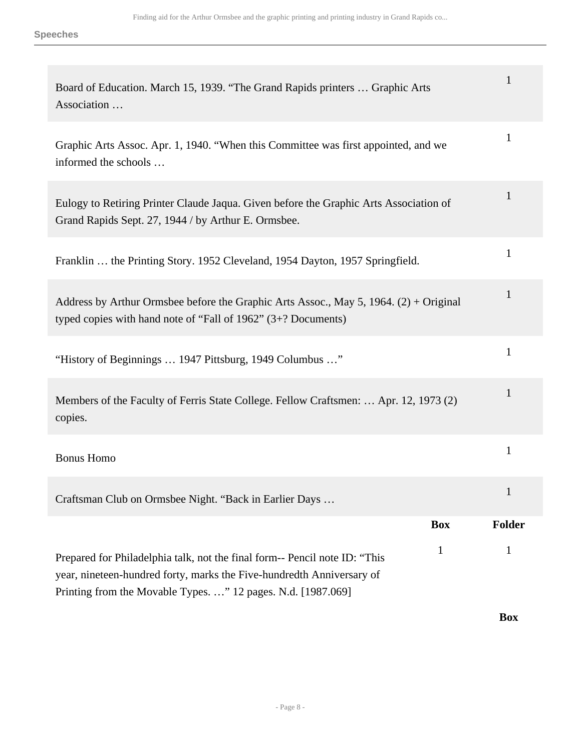| Board of Education. March 15, 1939. "The Grand Rapids printers  Graphic Arts<br>Association                                                                                                                                         | 1             |
|-------------------------------------------------------------------------------------------------------------------------------------------------------------------------------------------------------------------------------------|---------------|
| Graphic Arts Assoc. Apr. 1, 1940. "When this Committee was first appointed, and we<br>informed the schools                                                                                                                          | 1             |
| Eulogy to Retiring Printer Claude Jaqua. Given before the Graphic Arts Association of<br>Grand Rapids Sept. 27, 1944 / by Arthur E. Ormsbee.                                                                                        | 1             |
| Franklin  the Printing Story. 1952 Cleveland, 1954 Dayton, 1957 Springfield.                                                                                                                                                        | $\mathbf{1}$  |
| Address by Arthur Ormsbee before the Graphic Arts Assoc., May 5, 1964. $(2) + Original$<br>typed copies with hand note of "Fall of $1962$ " (3+? Documents)                                                                         | 1             |
| "History of Beginnings  1947 Pittsburg, 1949 Columbus "                                                                                                                                                                             | 1             |
| Members of the Faculty of Ferris State College. Fellow Craftsmen:  Apr. 12, 1973 (2)<br>copies.                                                                                                                                     | 1             |
| <b>Bonus Homo</b>                                                                                                                                                                                                                   | 1             |
| Craftsman Club on Ormsbee Night. "Back in Earlier Days                                                                                                                                                                              |               |
| <b>Box</b>                                                                                                                                                                                                                          | <b>Folder</b> |
| $\mathbf{1}$<br>Prepared for Philadelphia talk, not the final form-- Pencil note ID: "This<br>year, nineteen-hundred forty, marks the Five-hundredth Anniversary of<br>Printing from the Movable Types. " 12 pages. N.d. [1987.069] | 1             |
|                                                                                                                                                                                                                                     | <b>Box</b>    |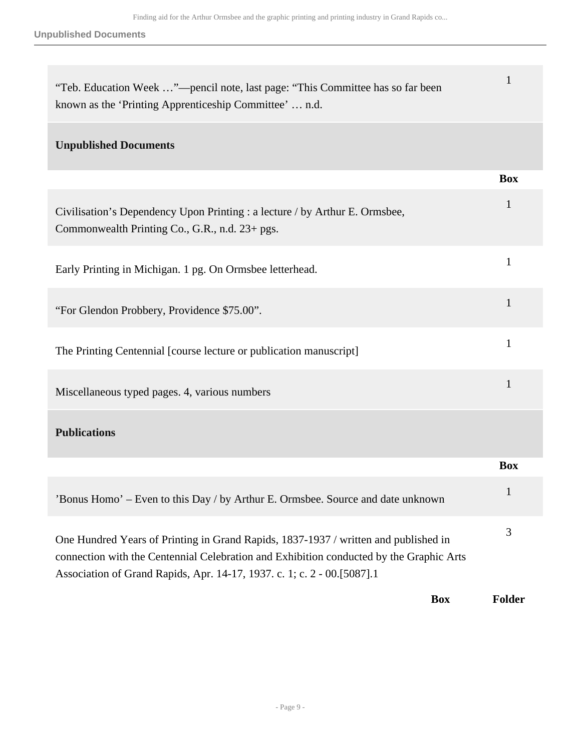**Unpublished Documents**

| "Teb. Education Week "—pencil note, last page: "This Committee has so far been<br>known as the 'Printing Apprenticeship Committee'  n.d.                                                                                                                  |              |
|-----------------------------------------------------------------------------------------------------------------------------------------------------------------------------------------------------------------------------------------------------------|--------------|
| <b>Unpublished Documents</b>                                                                                                                                                                                                                              |              |
|                                                                                                                                                                                                                                                           | <b>Box</b>   |
| Civilisation's Dependency Upon Printing : a lecture / by Arthur E. Ormsbee,<br>Commonwealth Printing Co., G.R., n.d. 23+ pgs.                                                                                                                             | 1            |
| Early Printing in Michigan. 1 pg. On Ormsbee letterhead.                                                                                                                                                                                                  | 1            |
| "For Glendon Probbery, Providence \$75.00".                                                                                                                                                                                                               | $\mathbf{1}$ |
| The Printing Centennial [course lecture or publication manuscript]                                                                                                                                                                                        | $\mathbf{1}$ |
| Miscellaneous typed pages. 4, various numbers                                                                                                                                                                                                             | $\mathbf{1}$ |
| <b>Publications</b>                                                                                                                                                                                                                                       |              |
|                                                                                                                                                                                                                                                           | <b>Box</b>   |
| 'Bonus Homo' – Even to this Day / by Arthur E. Ormsbee. Source and date unknown                                                                                                                                                                           | 1            |
| One Hundred Years of Printing in Grand Rapids, 1837-1937 / written and published in<br>connection with the Centennial Celebration and Exhibition conducted by the Graphic Arts<br>Association of Grand Rapids, Apr. 14-17, 1937. c. 1; c. 2 - 00.[5087].1 | 3            |
| <b>Box</b>                                                                                                                                                                                                                                                | Folder       |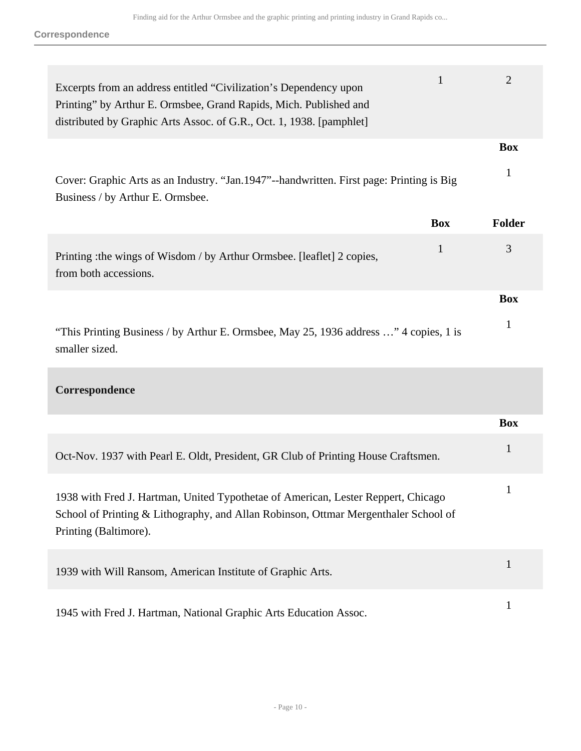| Excerpts from an address entitled "Civilization's Dependency upon<br>Printing" by Arthur E. Ormsbee, Grand Rapids, Mich. Published and<br>distributed by Graphic Arts Assoc. of G.R., Oct. 1, 1938. [pamphlet] |            | $\overline{2}$ |
|----------------------------------------------------------------------------------------------------------------------------------------------------------------------------------------------------------------|------------|----------------|
|                                                                                                                                                                                                                |            | <b>Box</b>     |
| Cover: Graphic Arts as an Industry. "Jan.1947"--handwritten. First page: Printing is Big<br>Business / by Arthur E. Ormsbee.                                                                                   |            | 1              |
|                                                                                                                                                                                                                | <b>Box</b> | <b>Folder</b>  |
| Printing : the wings of Wisdom / by Arthur Ormsbee. [leaflet] 2 copies,<br>from both accessions.                                                                                                               | 1          | 3              |
|                                                                                                                                                                                                                |            | <b>Box</b>     |
|                                                                                                                                                                                                                |            |                |

### **Correspondence**

|                                                                                                                                                                                                   | <b>Box</b> |
|---------------------------------------------------------------------------------------------------------------------------------------------------------------------------------------------------|------------|
| Oct-Nov. 1937 with Pearl E. Oldt, President, GR Club of Printing House Craftsmen.                                                                                                                 |            |
| 1938 with Fred J. Hartman, United Typothetae of American, Lester Reppert, Chicago<br>School of Printing & Lithography, and Allan Robinson, Ottmar Mergenthaler School of<br>Printing (Baltimore). |            |
| 1939 with Will Ransom, American Institute of Graphic Arts.                                                                                                                                        |            |
| 1945 with Fred J. Hartman, National Graphic Arts Education Assoc.                                                                                                                                 |            |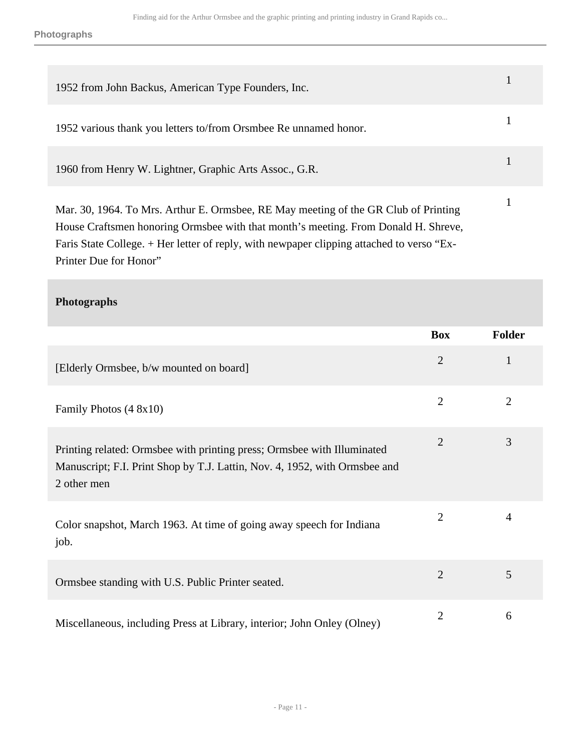**Photographs**

| 1952 from John Backus, American Type Founders, Inc.                                                                                                                                                                                                                                              |  |
|--------------------------------------------------------------------------------------------------------------------------------------------------------------------------------------------------------------------------------------------------------------------------------------------------|--|
| 1952 various thank you letters to/from Orsmbee Re unnamed honor.                                                                                                                                                                                                                                 |  |
| 1960 from Henry W. Lightner, Graphic Arts Assoc., G.R.                                                                                                                                                                                                                                           |  |
| Mar. 30, 1964. To Mrs. Arthur E. Ormsbee, RE May meeting of the GR Club of Printing<br>House Craftsmen honoring Ormsbee with that month's meeting. From Donald H. Shreve,<br>Faris State College. + Her letter of reply, with newpaper clipping attached to verso "Ex-<br>Printer Due for Honor" |  |

### **Photographs**

|                                                                                                                                                                      | <b>Box</b>     | <b>Folder</b>  |
|----------------------------------------------------------------------------------------------------------------------------------------------------------------------|----------------|----------------|
| [Elderly Ormsbee, b/w mounted on board]                                                                                                                              | $\overline{2}$ | $\mathbf{1}$   |
| Family Photos (4 8x10)                                                                                                                                               | $\overline{2}$ | $\overline{2}$ |
| Printing related: Ormsbee with printing press; Ormsbee with Illuminated<br>Manuscript; F.I. Print Shop by T.J. Lattin, Nov. 4, 1952, with Ormsbee and<br>2 other men | $\overline{2}$ | 3              |
| Color snapshot, March 1963. At time of going away speech for Indiana<br>job.                                                                                         | $\overline{2}$ | $\overline{4}$ |
| Ormsbee standing with U.S. Public Printer seated.                                                                                                                    | $\overline{2}$ | 5              |
| Miscellaneous, including Press at Library, interior; John Onley (Olney)                                                                                              | 2              | 6              |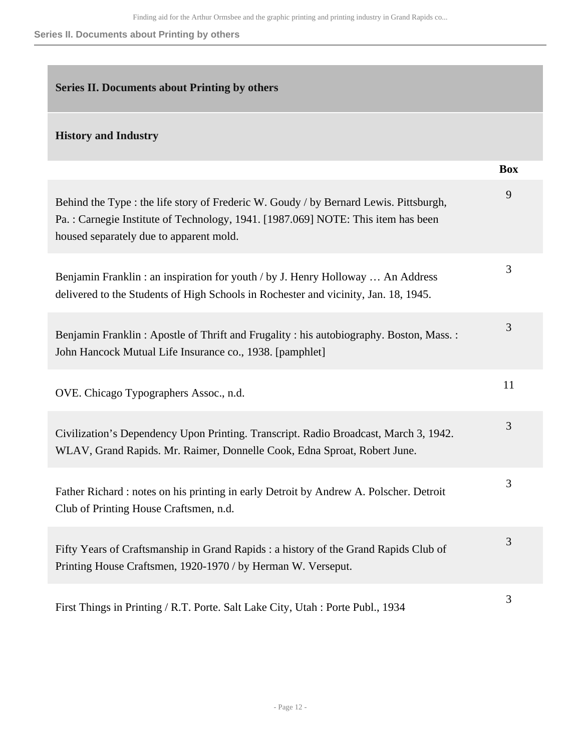#### **Series II. Documents about Printing by others**

#### <span id="page-11-0"></span>**Series II. Documents about Printing by others**

#### **History and Industry**

|                                                                                                                                                                                                                      | <b>Box</b> |
|----------------------------------------------------------------------------------------------------------------------------------------------------------------------------------------------------------------------|------------|
| Behind the Type : the life story of Frederic W. Goudy / by Bernard Lewis. Pittsburgh,<br>Pa.: Carnegie Institute of Technology, 1941. [1987.069] NOTE: This item has been<br>housed separately due to apparent mold. | 9          |
| Benjamin Franklin: an inspiration for youth / by J. Henry Holloway  An Address<br>delivered to the Students of High Schools in Rochester and vicinity, Jan. 18, 1945.                                                | 3          |
| Benjamin Franklin: Apostle of Thrift and Frugality: his autobiography. Boston, Mass.:<br>John Hancock Mutual Life Insurance co., 1938. [pamphlet]                                                                    | 3          |
| OVE. Chicago Typographers Assoc., n.d.                                                                                                                                                                               | 11         |
| Civilization's Dependency Upon Printing. Transcript. Radio Broadcast, March 3, 1942.<br>WLAV, Grand Rapids. Mr. Raimer, Donnelle Cook, Edna Sproat, Robert June.                                                     | 3          |
| Father Richard: notes on his printing in early Detroit by Andrew A. Polscher. Detroit<br>Club of Printing House Craftsmen, n.d.                                                                                      | 3          |
| Fifty Years of Craftsmanship in Grand Rapids : a history of the Grand Rapids Club of<br>Printing House Craftsmen, 1920-1970 / by Herman W. Verseput.                                                                 | 3          |
| First Things in Printing / R.T. Porte. Salt Lake City, Utah : Porte Publ., 1934                                                                                                                                      | 3          |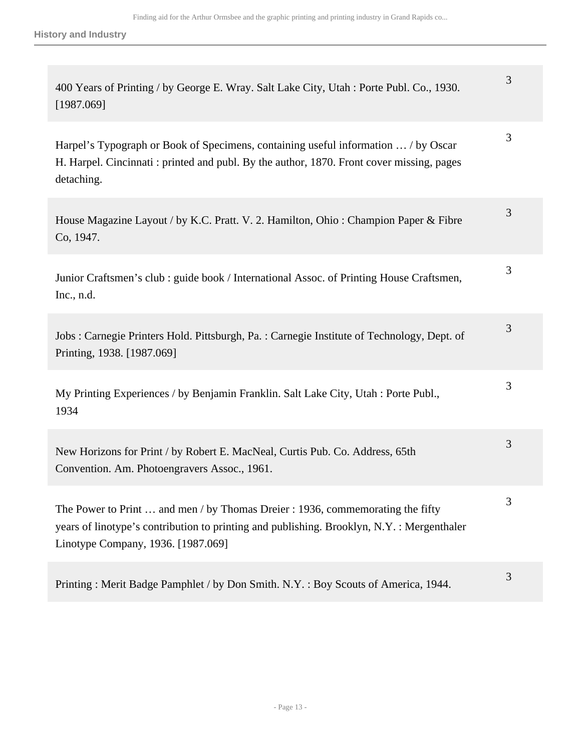| 400 Years of Printing / by George E. Wray. Salt Lake City, Utah : Porte Publ. Co., 1930.<br>[1987.069]                                                                                                            | 3 |
|-------------------------------------------------------------------------------------------------------------------------------------------------------------------------------------------------------------------|---|
| Harpel's Typograph or Book of Specimens, containing useful information  / by Oscar<br>H. Harpel. Cincinnati: printed and publ. By the author, 1870. Front cover missing, pages<br>detaching.                      | 3 |
| House Magazine Layout / by K.C. Pratt. V. 2. Hamilton, Ohio: Champion Paper & Fibre<br>Co, 1947.                                                                                                                  | 3 |
| Junior Craftsmen's club : guide book / International Assoc. of Printing House Craftsmen,<br>Inc., $n.d.$                                                                                                          | 3 |
| Jobs : Carnegie Printers Hold. Pittsburgh, Pa. : Carnegie Institute of Technology, Dept. of<br>Printing, 1938. [1987.069]                                                                                         | 3 |
| My Printing Experiences / by Benjamin Franklin. Salt Lake City, Utah : Porte Publ.,<br>1934                                                                                                                       | 3 |
| New Horizons for Print / by Robert E. MacNeal, Curtis Pub. Co. Address, 65th<br>Convention. Am. Photoengravers Assoc., 1961.                                                                                      | 3 |
| The Power to Print  and men / by Thomas Dreier : 1936, commemorating the fifty<br>years of linotype's contribution to printing and publishing. Brooklyn, N.Y.: Mergenthaler<br>Linotype Company, 1936. [1987.069] | 3 |
| Printing: Merit Badge Pamphlet / by Don Smith. N.Y.: Boy Scouts of America, 1944.                                                                                                                                 | 3 |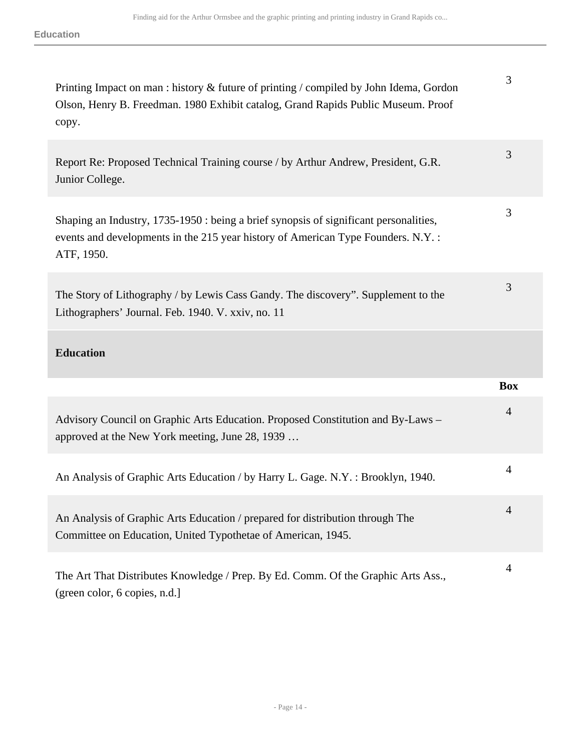| Printing Impact on man : history & future of printing / compiled by John Idema, Gordon<br>Olson, Henry B. Freedman. 1980 Exhibit catalog, Grand Rapids Public Museum. Proof<br>copy.     | 3              |
|------------------------------------------------------------------------------------------------------------------------------------------------------------------------------------------|----------------|
| Report Re: Proposed Technical Training course / by Arthur Andrew, President, G.R.<br>Junior College.                                                                                     | 3              |
| Shaping an Industry, 1735-1950 : being a brief synopsis of significant personalities,<br>events and developments in the 215 year history of American Type Founders. N.Y. :<br>ATF, 1950. | 3              |
| The Story of Lithography / by Lewis Cass Gandy. The discovery". Supplement to the<br>Lithographers' Journal. Feb. 1940. V. xxiv, no. 11                                                  | 3              |
| <b>Education</b>                                                                                                                                                                         |                |
|                                                                                                                                                                                          | <b>Box</b>     |
| Advisory Council on Graphic Arts Education. Proposed Constitution and By-Laws -<br>approved at the New York meeting, June 28, 1939                                                       | $\overline{4}$ |
| An Analysis of Graphic Arts Education / by Harry L. Gage. N.Y.: Brooklyn, 1940.                                                                                                          | $\overline{4}$ |
| An Analysis of Graphic Arts Education / prepared for distribution through The<br>Committee on Education, United Typothetae of American, 1945.                                            | 4              |
| The Art That Distributes Knowledge / Prep. By Ed. Comm. Of the Graphic Arts Ass.,<br>(green color, 6 copies, n.d.)                                                                       | $\overline{4}$ |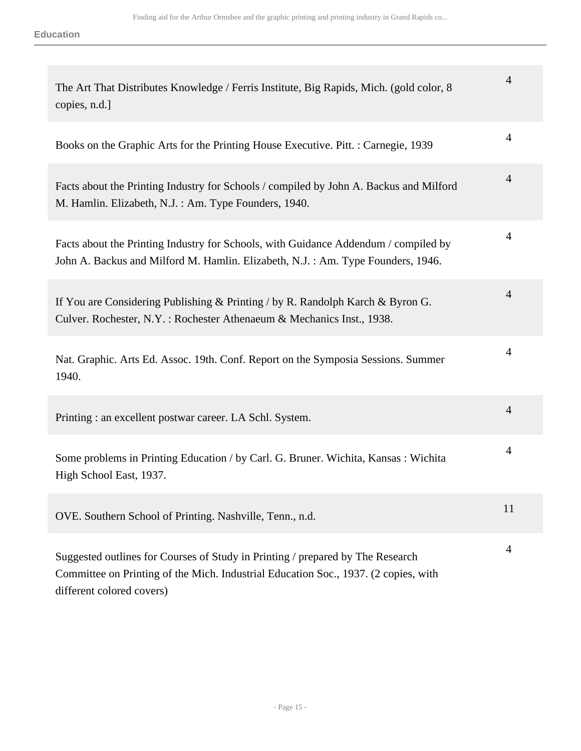| The Art That Distributes Knowledge / Ferris Institute, Big Rapids, Mich. (gold color, 8)<br>copies, n.d.]                                                                                          | 4              |
|----------------------------------------------------------------------------------------------------------------------------------------------------------------------------------------------------|----------------|
| Books on the Graphic Arts for the Printing House Executive. Pitt. : Carnegie, 1939                                                                                                                 | 4              |
| Facts about the Printing Industry for Schools / compiled by John A. Backus and Milford<br>M. Hamlin. Elizabeth, N.J. : Am. Type Founders, 1940.                                                    | $\overline{4}$ |
| Facts about the Printing Industry for Schools, with Guidance Addendum / compiled by<br>John A. Backus and Milford M. Hamlin. Elizabeth, N.J.: Am. Type Founders, 1946.                             | 4              |
| If You are Considering Publishing & Printing / by R. Randolph Karch & Byron G.<br>Culver. Rochester, N.Y.: Rochester Athenaeum & Mechanics Inst., 1938.                                            | 4              |
| Nat. Graphic. Arts Ed. Assoc. 19th. Conf. Report on the Symposia Sessions. Summer<br>1940.                                                                                                         | 4              |
| Printing: an excellent postwar career. LA Schl. System.                                                                                                                                            | 4              |
| Some problems in Printing Education / by Carl. G. Bruner. Wichita, Kansas: Wichita<br>High School East, 1937.                                                                                      | 4              |
| OVE. Southern School of Printing. Nashville, Tenn., n.d.                                                                                                                                           | 11             |
| Suggested outlines for Courses of Study in Printing / prepared by The Research<br>Committee on Printing of the Mich. Industrial Education Soc., 1937. (2 copies, with<br>different colored covers) | $\overline{4}$ |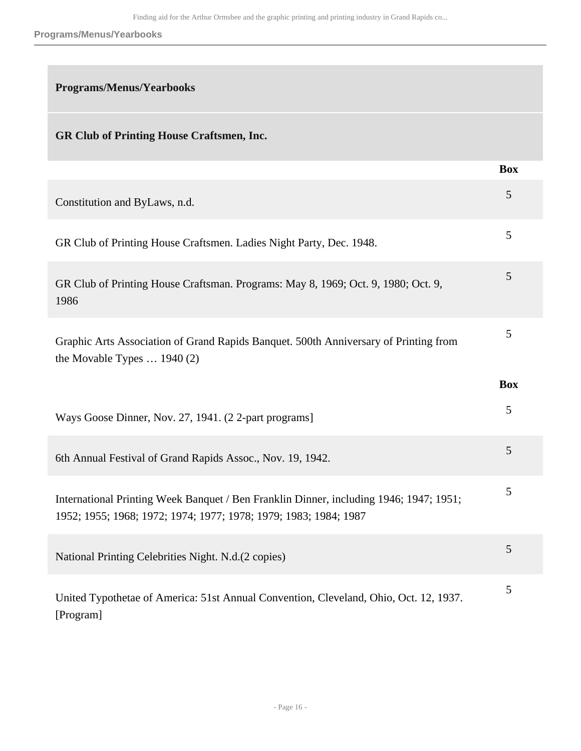#### **Programs/Menus/Yearbooks**

### **Programs/Menus/Yearbooks**

### **GR Club of Printing House Craftsmen, Inc.**

|                                                                                                                                                            | <b>Box</b> |
|------------------------------------------------------------------------------------------------------------------------------------------------------------|------------|
| Constitution and ByLaws, n.d.                                                                                                                              | 5          |
| GR Club of Printing House Craftsmen. Ladies Night Party, Dec. 1948.                                                                                        | 5          |
| GR Club of Printing House Craftsman. Programs: May 8, 1969; Oct. 9, 1980; Oct. 9,<br>1986                                                                  | 5          |
| Graphic Arts Association of Grand Rapids Banquet. 500th Anniversary of Printing from<br>the Movable Types $\ldots$ 1940 (2)                                | 5          |
|                                                                                                                                                            | <b>Box</b> |
| Ways Goose Dinner, Nov. 27, 1941. (22-part programs]                                                                                                       | 5          |
| 6th Annual Festival of Grand Rapids Assoc., Nov. 19, 1942.                                                                                                 | 5          |
| International Printing Week Banquet / Ben Franklin Dinner, including 1946; 1947; 1951;<br>1952; 1955; 1968; 1972; 1974; 1977; 1978; 1979; 1983; 1984; 1987 | 5          |
| National Printing Celebrities Night. N.d.(2 copies)                                                                                                        | 5          |
| United Typothetae of America: 51st Annual Convention, Cleveland, Ohio, Oct. 12, 1937.<br>[Program]                                                         | 5          |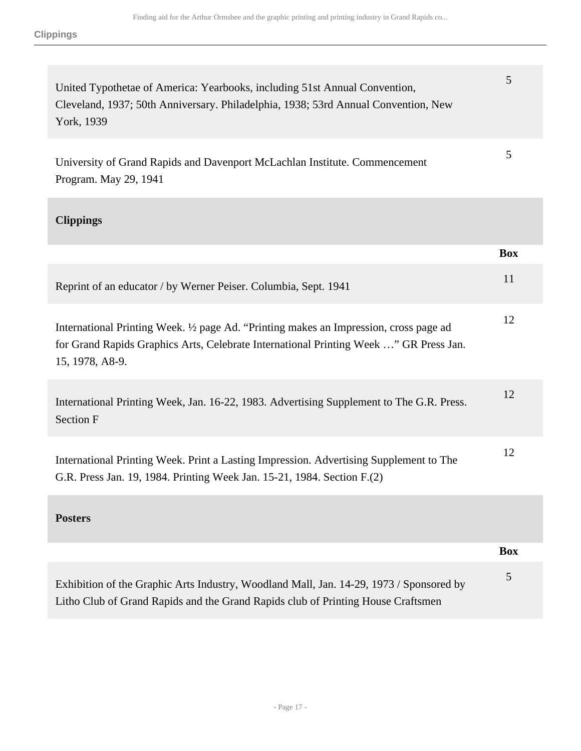| United Typothetae of America: Yearbooks, including 51st Annual Convention,<br>Cleveland, 1937; 50th Anniversary. Philadelphia, 1938; 53rd Annual Convention, New<br>York, 1939                     | 5          |
|----------------------------------------------------------------------------------------------------------------------------------------------------------------------------------------------------|------------|
| University of Grand Rapids and Davenport McLachlan Institute. Commencement<br>Program. May 29, 1941                                                                                                | 5          |
| <b>Clippings</b>                                                                                                                                                                                   |            |
|                                                                                                                                                                                                    | <b>Box</b> |
| Reprint of an educator / by Werner Peiser. Columbia, Sept. 1941                                                                                                                                    | 11         |
| International Printing Week. 1/2 page Ad. "Printing makes an Impression, cross page ad<br>for Grand Rapids Graphics Arts, Celebrate International Printing Week " GR Press Jan.<br>15, 1978, A8-9. | 12         |
| International Printing Week, Jan. 16-22, 1983. Advertising Supplement to The G.R. Press.<br>Section F                                                                                              | 12         |
| International Printing Week. Print a Lasting Impression. Advertising Supplement to The<br>G.R. Press Jan. 19, 1984. Printing Week Jan. 15-21, 1984. Section F.(2)                                  | 12         |
| <b>Posters</b>                                                                                                                                                                                     |            |
|                                                                                                                                                                                                    | <b>Box</b> |
| Exhibition of the Graphic Arts Industry, Woodland Mall, Jan. 14-29, 1973 / Sponsored by<br>Litho Club of Grand Rapids and the Grand Rapids club of Printing House Craftsmen                        | 5          |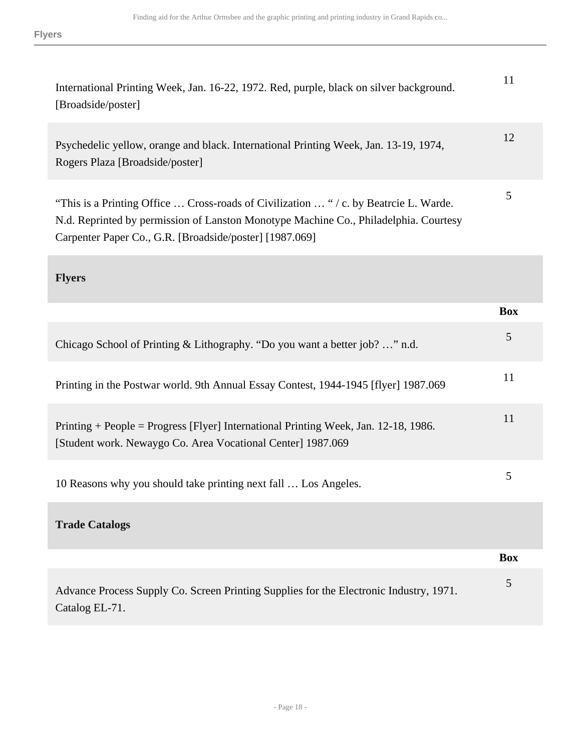| International Printing Week, Jan. 16-22, 1972. Red, purple, black on silver background.<br>[Broadside/poster]           |    |
|-------------------------------------------------------------------------------------------------------------------------|----|
| Psychedelic yellow, orange and black. International Printing Week, Jan. 13-19, 1974,<br>Rogers Plaza [Broadside/poster] | 12 |
|                                                                                                                         |    |

5

"This is a Printing Office … Cross-roads of Civilization … " / c. by Beatrcie L. Warde. N.d. Reprinted by permission of Lanston Monotype Machine Co., Philadelphia. Courtesy Carpenter Paper Co., G.R. [Broadside/poster] [1987.069]

### **Flyers**

|                                                                                                                                                    | <b>Box</b> |
|----------------------------------------------------------------------------------------------------------------------------------------------------|------------|
| Chicago School of Printing & Lithography. "Do you want a better job?" n.d.                                                                         | 5          |
| Printing in the Postwar world. 9th Annual Essay Contest, 1944-1945 [flyer] 1987.069                                                                | 11         |
| Printing + People = Progress [Flyer] International Printing Week, Jan. 12-18, 1986.<br>[Student work. Newaygo Co. Area Vocational Center] 1987.069 | 11         |
| 10 Reasons why you should take printing next fall  Los Angeles.                                                                                    | 5          |
| <b>Trade Catalogs</b>                                                                                                                              |            |
|                                                                                                                                                    | <b>Box</b> |
| Advance Process Supply Co. Screen Printing Supplies for the Electronic Industry, 1971.<br>Catalog EL-71.                                           | 5          |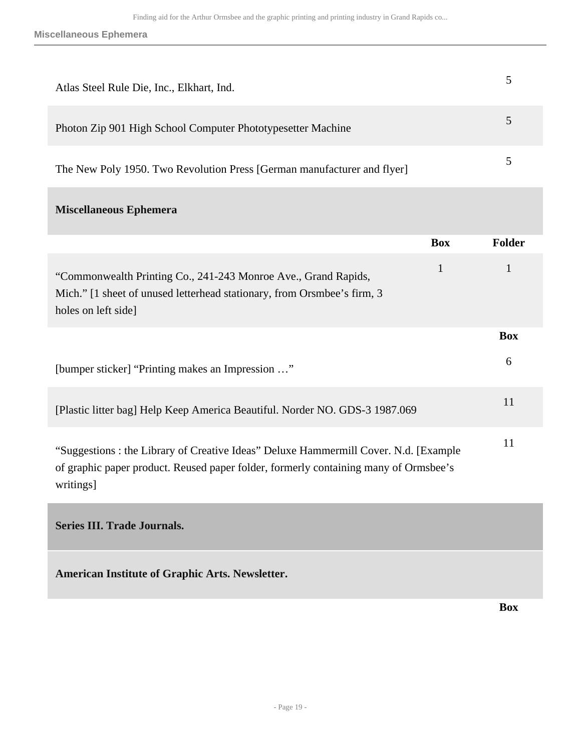| Atlas Steel Rule Die, Inc., Elkhart, Ind.                                                                                                                                        | 5             |
|----------------------------------------------------------------------------------------------------------------------------------------------------------------------------------|---------------|
| Photon Zip 901 High School Computer Phototypesetter Machine                                                                                                                      | 5             |
| The New Poly 1950. Two Revolution Press [German manufacturer and flyer]                                                                                                          | 5             |
| <b>Miscellaneous Ephemera</b>                                                                                                                                                    |               |
| <b>Box</b>                                                                                                                                                                       | <b>Folder</b> |
| $\mathbf{1}$<br>"Commonwealth Printing Co., 241-243 Monroe Ave., Grand Rapids,<br>Mich." [1 sheet of unused letterhead stationary, from Orsmbee's firm, 3<br>holes on left side] | 1             |
|                                                                                                                                                                                  | <b>Box</b>    |
| [bumper sticker] "Printing makes an Impression "                                                                                                                                 | 6             |
| [Plastic litter bag] Help Keep America Beautiful. Norder NO. GDS-3 1987.069                                                                                                      | 11            |
| "Suggestions : the Library of Creative Ideas" Deluxe Hammermill Cover. N.d. [Example                                                                                             | 11            |

of graphic paper product. Reused paper folder, formerly containing many of Ormsbee's writings]

<span id="page-18-0"></span>**Series III. Trade Journals.** 

**American Institute of Graphic Arts. Newsletter.** 

**Box**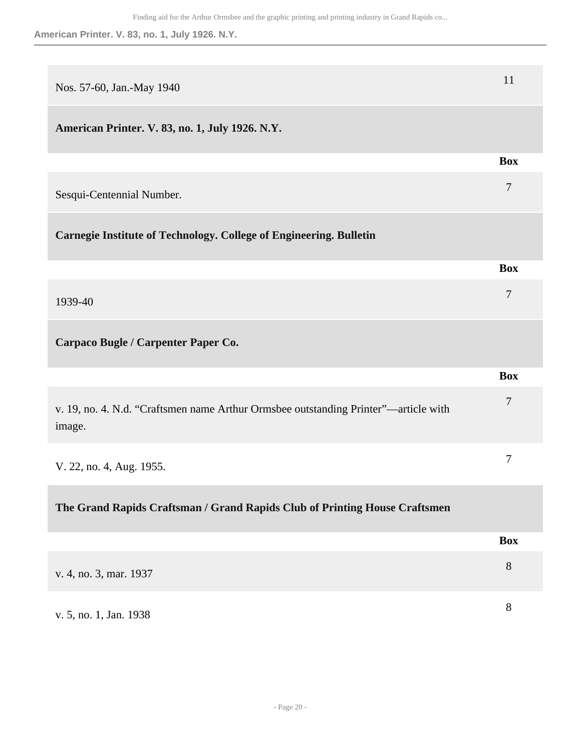| Nos. 57-60, Jan.-May 1940                                                                     | 11             |
|-----------------------------------------------------------------------------------------------|----------------|
| American Printer. V. 83, no. 1, July 1926. N.Y.                                               |                |
|                                                                                               | <b>Box</b>     |
| Sesqui-Centennial Number.                                                                     | $\overline{7}$ |
| <b>Carnegie Institute of Technology. College of Engineering. Bulletin</b>                     |                |
|                                                                                               | <b>Box</b>     |
| 1939-40                                                                                       | 7              |
| Carpaco Bugle / Carpenter Paper Co.                                                           |                |
|                                                                                               | <b>Box</b>     |
| v. 19, no. 4. N.d. "Craftsmen name Arthur Ormsbee outstanding Printer"-article with<br>image. | 7              |
| V. 22, no. 4, Aug. 1955.                                                                      | 7              |
| The Grand Rapids Craftsman / Grand Rapids Club of Printing House Craftsmen                    |                |
|                                                                                               | <b>Box</b>     |
| v. 4, no. 3, mar. 1937                                                                        | $8\,$          |
| v. 5, no. 1, Jan. 1938                                                                        | 8              |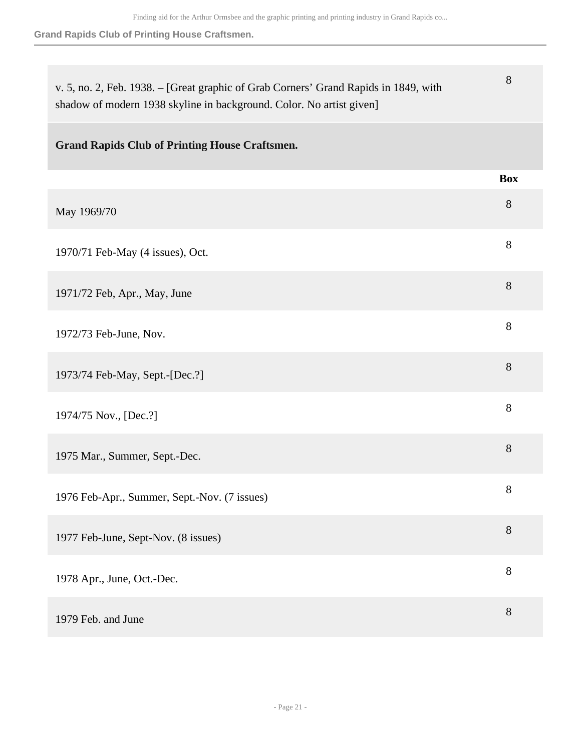**Grand Rapids Club of Printing House Craftsmen.**

| v. 5, no. 2, Feb. 1938. - [Great graphic of Grab Corners' Grand Rapids in 1849, with<br>shadow of modern 1938 skyline in background. Color. No artist given] | 8          |
|--------------------------------------------------------------------------------------------------------------------------------------------------------------|------------|
| <b>Grand Rapids Club of Printing House Craftsmen.</b>                                                                                                        |            |
|                                                                                                                                                              | <b>Box</b> |
| May 1969/70                                                                                                                                                  | 8          |
| 1970/71 Feb-May (4 issues), Oct.                                                                                                                             | 8          |
| 1971/72 Feb, Apr., May, June                                                                                                                                 | 8          |
| 1972/73 Feb-June, Nov.                                                                                                                                       | 8          |
| 1973/74 Feb-May, Sept.-[Dec.?]                                                                                                                               | 8          |
| 1974/75 Nov., [Dec.?]                                                                                                                                        | 8          |
| 1975 Mar., Summer, Sept.-Dec.                                                                                                                                | 8          |
| 1976 Feb-Apr., Summer, Sept.-Nov. (7 issues)                                                                                                                 | 8          |
| 1977 Feb-June, Sept-Nov. (8 issues)                                                                                                                          | 8          |
| 1978 Apr., June, Oct.-Dec.                                                                                                                                   | 8          |
| 1979 Feb. and June                                                                                                                                           | 8          |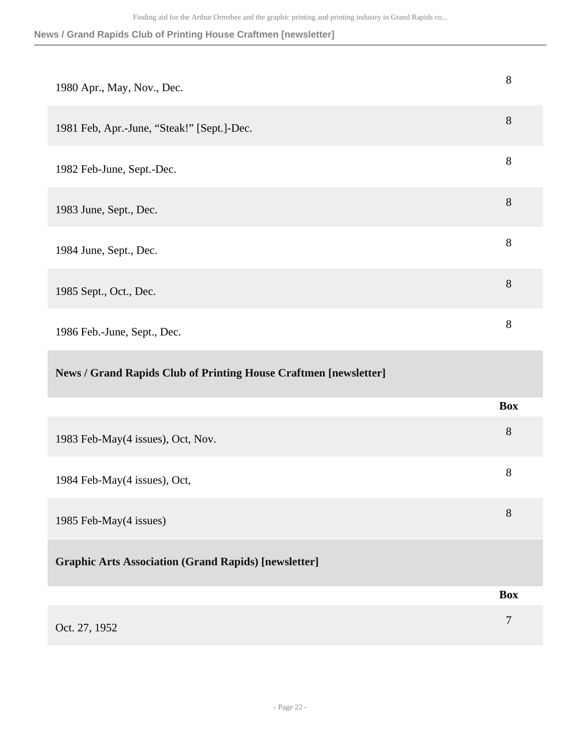## **News / Grand Rapids Club of Printing House Craftmen [newsletter]**

| 1980 Apr., May, Nov., Dec.                                       | 8          |
|------------------------------------------------------------------|------------|
| 1981 Feb, Apr.-June, "Steak!" [Sept.]-Dec.                       | 8          |
| 1982 Feb-June, Sept.-Dec.                                        | 8          |
| 1983 June, Sept., Dec.                                           | 8          |
| 1984 June, Sept., Dec.                                           | 8          |
| 1985 Sept., Oct., Dec.                                           | 8          |
| 1986 Feb.-June, Sept., Dec.                                      | 8          |
|                                                                  |            |
| News / Grand Rapids Club of Printing House Craftmen [newsletter] |            |
|                                                                  | <b>Box</b> |
| 1983 Feb-May(4 issues), Oct, Nov.                                | 8          |
| 1984 Feb-May(4 issues), Oct,                                     | 8          |
| 1985 Feb-May(4 issues)                                           | 8          |
| <b>Graphic Arts Association (Grand Rapids) [newsletter]</b>      |            |
|                                                                  | <b>Box</b> |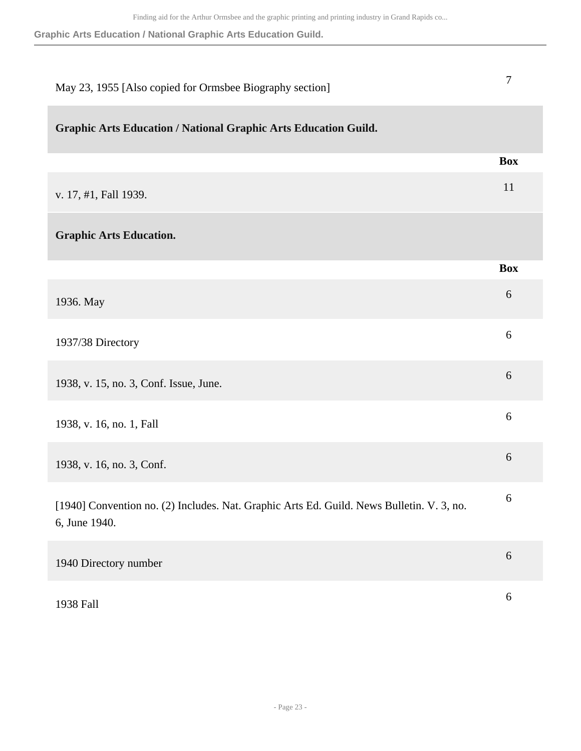**Graphic Arts Education / National Graphic Arts Education Guild.**

| May 23, 1955 [Also copied for Ormsbee Biography section]                                                   | 7                |
|------------------------------------------------------------------------------------------------------------|------------------|
| <b>Graphic Arts Education / National Graphic Arts Education Guild.</b>                                     |                  |
|                                                                                                            | <b>Box</b>       |
| v. 17, #1, Fall 1939.                                                                                      | 11               |
| <b>Graphic Arts Education.</b>                                                                             |                  |
|                                                                                                            | <b>Box</b>       |
| 1936. May                                                                                                  | 6                |
| 1937/38 Directory                                                                                          | 6                |
| 1938, v. 15, no. 3, Conf. Issue, June.                                                                     | 6                |
| 1938, v. 16, no. 1, Fall                                                                                   | 6                |
| 1938, v. 16, no. 3, Conf.                                                                                  | 6                |
| [1940] Convention no. (2) Includes. Nat. Graphic Arts Ed. Guild. News Bulletin. V. 3, no.<br>6, June 1940. | 6                |
| 1940 Directory number                                                                                      | $\sqrt{6}$       |
| 1938 Fall                                                                                                  | $\boldsymbol{6}$ |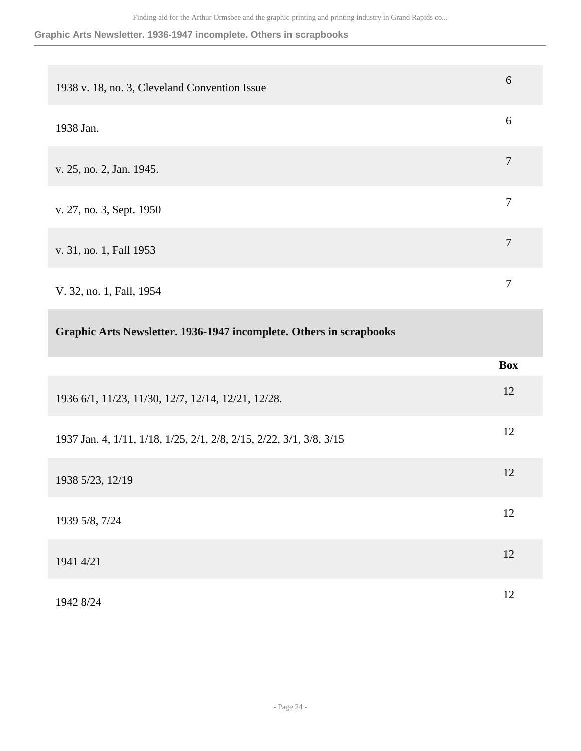#### **Graphic Arts Newsletter. 1936-1947 incomplete. Others in scrapbooks**

| 6<br>1938 v. 18, no. 3, Cleveland Convention Issue<br>6<br>1938 Jan.<br>$\tau$<br>v. 25, no. 2, Jan. 1945.<br>$\tau$<br>v. 27, no. 3, Sept. 1950<br>$\overline{7}$<br>v. 31, no. 1, Fall 1953<br>7<br>V. 32, no. 1, Fall, 1954<br>Graphic Arts Newsletter. 1936-1947 incomplete. Others in scrapbooks<br><b>Box</b><br>12 |                                                    |  |
|---------------------------------------------------------------------------------------------------------------------------------------------------------------------------------------------------------------------------------------------------------------------------------------------------------------------------|----------------------------------------------------|--|
|                                                                                                                                                                                                                                                                                                                           |                                                    |  |
|                                                                                                                                                                                                                                                                                                                           |                                                    |  |
|                                                                                                                                                                                                                                                                                                                           |                                                    |  |
|                                                                                                                                                                                                                                                                                                                           |                                                    |  |
|                                                                                                                                                                                                                                                                                                                           |                                                    |  |
|                                                                                                                                                                                                                                                                                                                           |                                                    |  |
|                                                                                                                                                                                                                                                                                                                           |                                                    |  |
|                                                                                                                                                                                                                                                                                                                           |                                                    |  |
|                                                                                                                                                                                                                                                                                                                           | 1936 6/1, 11/23, 11/30, 12/7, 12/14, 12/21, 12/28. |  |

1937 Jan. 4, 1/11, 1/18, 1/25, 2/1, 2/8, 2/15, 2/22, 3/1, 3/8, 3/15 <sup>12</sup>

1938 5/23, 12/19 <sup>12</sup>

1939 5/8, 7/24 <sup>12</sup>  $1941\,4/21$  12

1942 8/24 <sup>12</sup>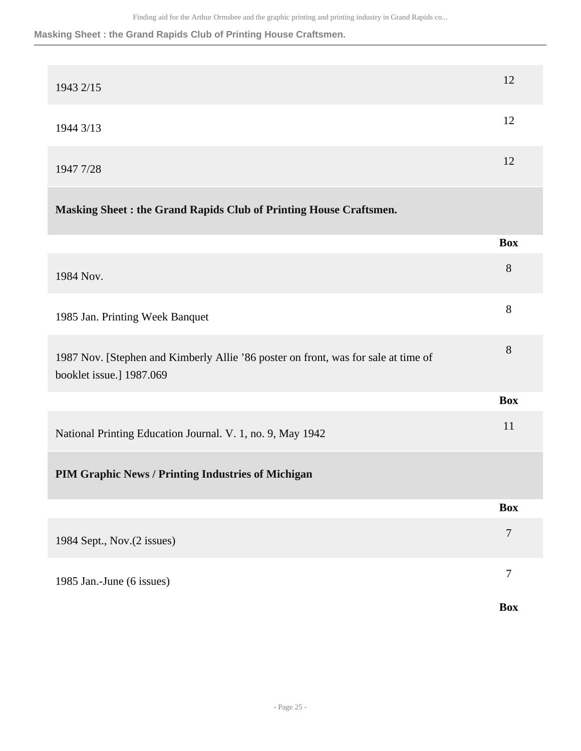#### **Masking Sheet : the Grand Rapids Club of Printing House Craftsmen.**

|                                                                                                                | <b>Box</b>     |
|----------------------------------------------------------------------------------------------------------------|----------------|
| 1985 Jan.-June (6 issues)                                                                                      | 7              |
| 1984 Sept., Nov.(2 issues)                                                                                     | $\overline{7}$ |
|                                                                                                                | <b>Box</b>     |
| PIM Graphic News / Printing Industries of Michigan                                                             |                |
| National Printing Education Journal. V. 1, no. 9, May 1942                                                     | 11             |
|                                                                                                                | <b>Box</b>     |
| 1987 Nov. [Stephen and Kimberly Allie '86 poster on front, was for sale at time of<br>booklet issue.] 1987.069 | 8              |
| 1985 Jan. Printing Week Banquet                                                                                | 8              |
| 1984 Nov.                                                                                                      | $8\,$          |
|                                                                                                                | <b>Box</b>     |
| Masking Sheet: the Grand Rapids Club of Printing House Craftsmen.                                              |                |
| 1947 7/28                                                                                                      | 12             |
| 1944 3/13                                                                                                      | 12             |
| 1943 2/15                                                                                                      | 12             |
|                                                                                                                |                |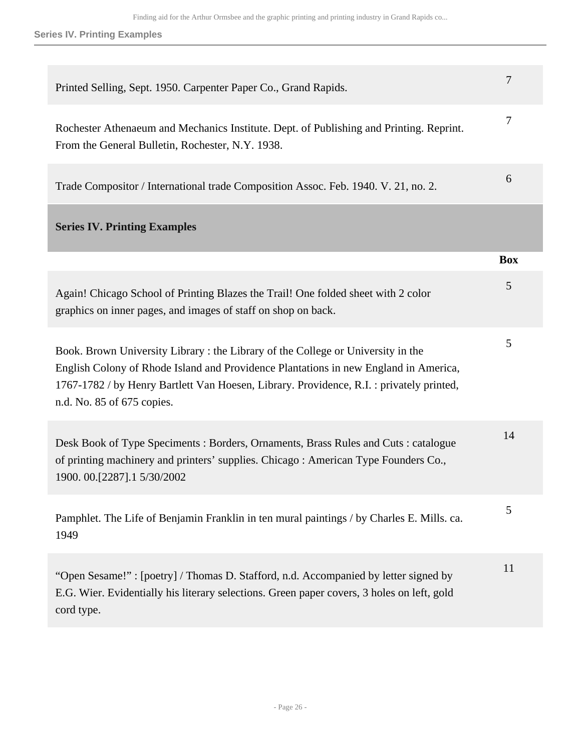**Series IV. Printing Examples**

<span id="page-25-0"></span>

| Printed Selling, Sept. 1950. Carpenter Paper Co., Grand Rapids.                                                                                                                                                                                                                                  | 7          |
|--------------------------------------------------------------------------------------------------------------------------------------------------------------------------------------------------------------------------------------------------------------------------------------------------|------------|
| Rochester Athenaeum and Mechanics Institute. Dept. of Publishing and Printing. Reprint.<br>From the General Bulletin, Rochester, N.Y. 1938.                                                                                                                                                      | 7          |
| Trade Compositor / International trade Composition Assoc. Feb. 1940. V. 21, no. 2.                                                                                                                                                                                                               | 6          |
| <b>Series IV. Printing Examples</b>                                                                                                                                                                                                                                                              |            |
|                                                                                                                                                                                                                                                                                                  | <b>Box</b> |
| Again! Chicago School of Printing Blazes the Trail! One folded sheet with 2 color<br>graphics on inner pages, and images of staff on shop on back.                                                                                                                                               | 5          |
| Book. Brown University Library: the Library of the College or University in the<br>English Colony of Rhode Island and Providence Plantations in new England in America,<br>1767-1782 / by Henry Bartlett Van Hoesen, Library. Providence, R.I.: privately printed,<br>n.d. No. 85 of 675 copies. | 5          |
| Desk Book of Type Speciments : Borders, Ornaments, Brass Rules and Cuts : catalogue<br>of printing machinery and printers' supplies. Chicago: American Type Founders Co.,<br>1900. 00. [2287]. 1 5/30/2002                                                                                       | 14         |
| Pamphlet. The Life of Benjamin Franklin in ten mural paintings / by Charles E. Mills. ca.<br>1949                                                                                                                                                                                                | 5          |
| "Open Sesame!": [poetry] / Thomas D. Stafford, n.d. Accompanied by letter signed by<br>E.G. Wier. Evidentially his literary selections. Green paper covers, 3 holes on left, gold<br>cord type.                                                                                                  | 11         |
|                                                                                                                                                                                                                                                                                                  |            |